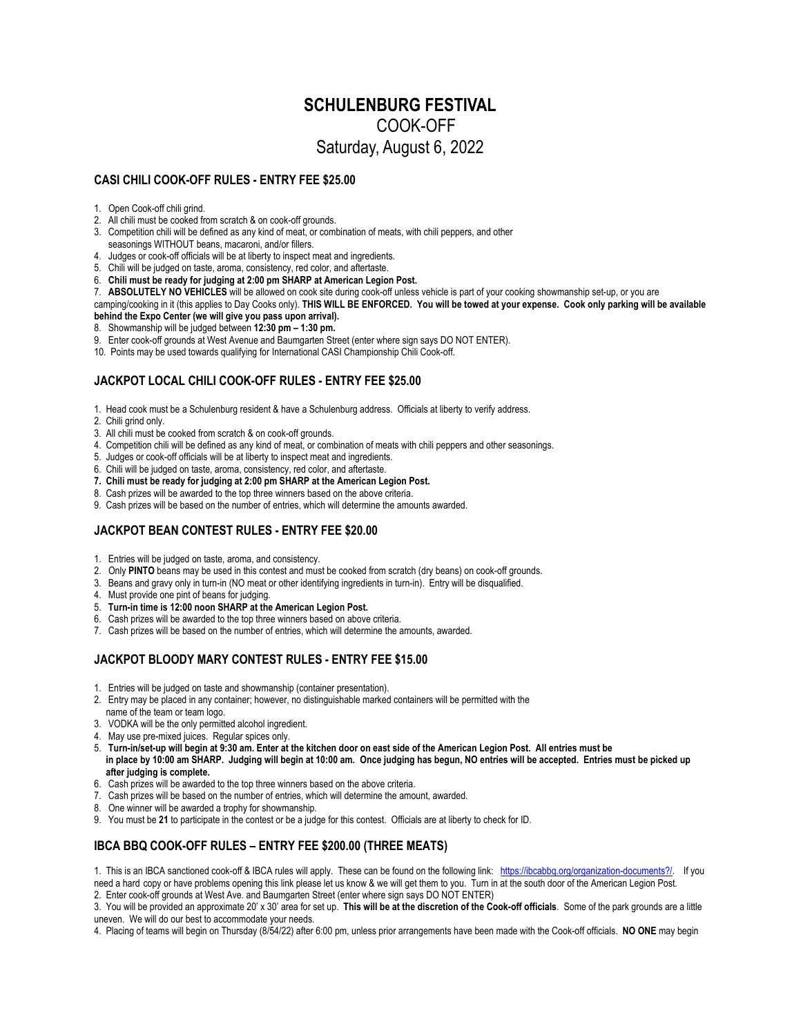# **SCHULENBURG FESTIVAL**  COOK-OFF Saturday, August 6, 2022

#### **CASI CHILI COOK-OFF RULES - ENTRY FEE \$25.00**

- 1. Open Cook-off chili grind.
- 2. All chili must be cooked from scratch & on cook-off grounds.
- 3. Competition chili will be defined as any kind of meat, or combination of meats, with chili peppers, and other seasonings WITHOUT beans, macaroni, and/or fillers.
- 4. Judges or cook-off officials will be at liberty to inspect meat and ingredients.
- 5. Chili will be judged on taste, aroma, consistency, red color, and aftertaste.
- 6. **Chili must be ready for judging at 2:00 pm SHARP at American Legion Post.**
- 7. **ABSOLUTELY NO VEHICLES** will be allowed on cook site during cook-off unless vehicle is part of your cooking showmanship set-up, or you are

camping/cooking in it (this applies to Day Cooks only). **THIS WILL BE ENFORCED. You will be towed at your expense. Cook only parking will be available behind the Expo Center (we will give you pass upon arrival).** 

- 8. Showmanship will be judged between **12:30 pm 1:30 pm.**
- 9. Enter cook-off grounds at West Avenue and Baumgarten Street (enter where sign says DO NOT ENTER).
- 10. Points may be used towards qualifying for International CASI Championship Chili Cook-off.

## **JACKPOT LOCAL CHILI COOK-OFF RULES - ENTRY FEE \$25.00**

1. Head cook must be a Schulenburg resident & have a Schulenburg address. Officials at liberty to verify address.

- 2. Chili grind only.
- 3. All chili must be cooked from scratch & on cook-off grounds.
- 4. Competition chili will be defined as any kind of meat, or combination of meats with chili peppers and other seasonings.
- 5. Judges or cook-off officials will be at liberty to inspect meat and ingredients.
- 6. Chili will be judged on taste, aroma, consistency, red color, and aftertaste.
- **7. Chili must be ready for judging at 2:00 pm SHARP at the American Legion Post.**
- 8. Cash prizes will be awarded to the top three winners based on the above criteria.
- 9. Cash prizes will be based on the number of entries, which will determine the amounts awarded.

## **JACKPOT BEAN CONTEST RULES - ENTRY FEE \$20.00**

- 1. Entries will be judged on taste, aroma, and consistency.
- 2. Only **PINTO** beans may be used in this contest and must be cooked from scratch (dry beans) on cook-off grounds.
- 3. Beans and gravy only in turn-in (NO meat or other identifying ingredients in turn-in). Entry will be disqualified.
- 4. Must provide one pint of beans for judging.
- 5. **Turn-in time is 12:00 noon SHARP at the American Legion Post.**
- 6. Cash prizes will be awarded to the top three winners based on above criteria.
- 7. Cash prizes will be based on the number of entries, which will determine the amounts, awarded.

## **JACKPOT BLOODY MARY CONTEST RULES - ENTRY FEE \$15.00**

- 1. Entries will be judged on taste and showmanship (container presentation).
- 2. Entry may be placed in any container; however, no distinguishable marked containers will be permitted with the
- name of the team or team logo.
- 3. VODKA will be the only permitted alcohol ingredient.
- 4. May use pre-mixed juices. Regular spices only.
- 5. **Turn-in/set-up will begin at 9:30 am. Enter at the kitchen door on east side of the American Legion Post. All entries must be in place by 10:00 am SHARP. Judging will begin at 10:00 am. Once judging has begun, NO entries will be accepted. Entries must be picked up after judging is complete.**
- 6. Cash prizes will be awarded to the top three winners based on the above criteria.
- 7. Cash prizes will be based on the number of entries, which will determine the amount, awarded.
- 8. One winner will be awarded a trophy for showmanship.
- 9. You must be **21** to participate in the contest or be a judge for this contest. Officials are at liberty to check for ID.

## **IBCA BBQ COOK-OFF RULES – ENTRY FEE \$200.00 (THREE MEATS)**

1. This is an IBCA sanctioned cook-off & IBCA rules will apply. These can be found on the following link: https://ibcabbq.org/organization-documents?/. If you need a hard copy or have problems opening this link please let us know & we will get them to you. Turn in at the south door of the American Legion Post.

2. Enter cook-off grounds at West Ave. and Baumgarten Street (enter where sign says DO NOT ENTER)

3. You will be provided an approximate 20' x 30' area for set up. **This will be at the discretion of the Cook-off officials**. Some of the park grounds are a little uneven. We will do our best to accommodate your needs.

4. Placing of teams will begin on Thursday (8/54/22) after 6:00 pm, unless prior arrangements have been made with the Cook-off officials. **NO ONE** may begin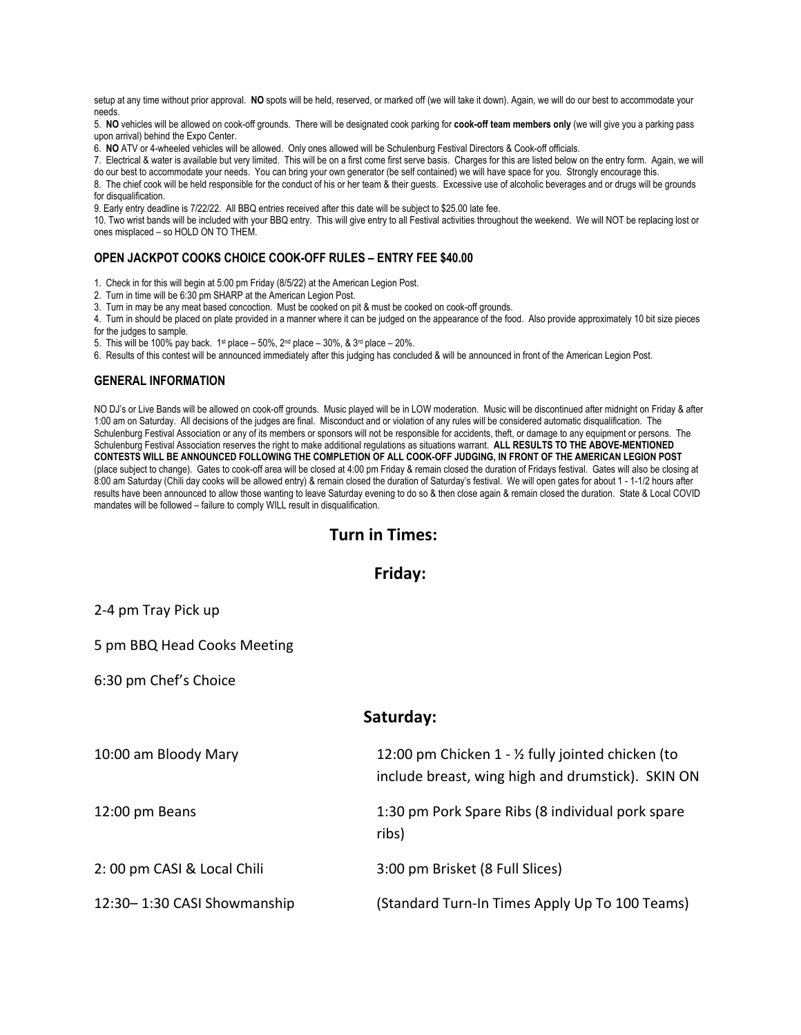setup at any time without prior approval. NO spots will be held, reserved, or marked off (we will take it down). Again, we will do our best to accommodate your needs.

5. **NO** vehicles will be allowed on cook-off grounds. There will be designated cook parking for **cook-off team members only** (we will give you a parking pass upon arrival) behind the Expo Center.

6. **NO** ATV or 4-wheeled vehicles will be allowed. Only ones allowed will be Schulenburg Festival Directors & Cook-off officials.

7. Electrical & water is available but very limited. This will be on a first come first serve basis. Charges for this are listed below on the entry form. Again, we will do our best to accommodate your needs. You can bring your own generator (be self contained) we will have space for you. Strongly encourage this.

8. The chief cook will be held responsible for the conduct of his or her team & their guests. Excessive use of alcoholic beverages and or drugs will be grounds for disqualification.

9. Early entry deadline is 7/22/22. All BBQ entries received after this date will be subject to \$25.00 late fee.

10. Two wrist bands will be included with your BBQ entry. This will give entry to all Festival activities throughout the weekend. We will NOT be replacing lost or ones misplaced – so HOLD ON TO THEM.

## **OPEN JACKPOT COOKS CHOICE COOK-OFF RULES – ENTRY FEE \$40.00**

1. Check in for this will begin at 5:00 pm Friday (8/5/22) at the American Legion Post.

- 2. Turn in time will be 6:30 pm SHARP at the American Legion Post.
- 3. Turn in may be any meat based concoction. Must be cooked on pit & must be cooked on cook-off grounds.
- 4. Turn in should be placed on plate provided in a manner where it can be judged on the appearance of the food. Also provide approximately 10 bit size pieces

for the judges to sample.

5. This will be 100% pay back. 1<sup>st</sup> place – 50%, 2<sup>nd</sup> place – 30%, & 3<sup>rd</sup> place – 20%.

6. Results of this contest will be announced immediately after this judging has concluded & will be announced in front of the American Legion Post.

#### **GENERAL INFORMATION**

NO DJ's or Live Bands will be allowed on cook-off grounds. Music played will be in LOW moderation. Music will be discontinued after midnight on Friday & after 1:00 am on Saturday. All decisions of the judges are final. Misconduct and or violation of any rules will be considered automatic disqualification. The Schulenburg Festival Association or any of its members or sponsors will not be responsible for accidents, theft, or damage to any equipment or persons. The Schulenburg Festival Association reserves the right to make additional regulations as situations warrant. **ALL RESULTS TO THE ABOVE-MENTIONED CONTESTS WILL BE ANNOUNCED FOLLOWING THE COMPLETION OF ALL COOK-OFF JUDGING, IN FRONT OF THE AMERICAN LEGION POST**  (place subject to change). Gates to cook-off area will be closed at 4:00 pm Friday & remain closed the duration of Fridays festival. Gates will also be closing at 8:00 am Saturday (Chili day cooks will be allowed entry) & remain closed the duration of Saturday's festival. We will open gates for about 1 - 1-1/2 hours after results have been announced to allow those wanting to leave Saturday evening to do so & then close again & remain closed the duration. State & Local COVID mandates will be followed – failure to comply WILL result in disqualification.

## **Turn in Times:**

## **Friday:**

2‐4 pm Tray Pick up

5 pm BBQ Head Cooks Meeting

6:30 pm Chef's Choice

| saturgay:                   |                                                                                                         |
|-----------------------------|---------------------------------------------------------------------------------------------------------|
| 10:00 am Bloody Mary        | 12:00 pm Chicken 1 - 1/2 fully jointed chicken (to<br>include breast, wing high and drumstick). SKIN ON |
| 12:00 pm Beans              | 1:30 pm Pork Spare Ribs (8 individual pork spare<br>ribs)                                               |
| 2:00 pm CASI & Local Chili  | 3:00 pm Brisket (8 Full Slices)                                                                         |
| 12:30-1:30 CASI Showmanship | (Standard Turn-In Times Apply Up To 100 Teams)                                                          |

**Saturday:**